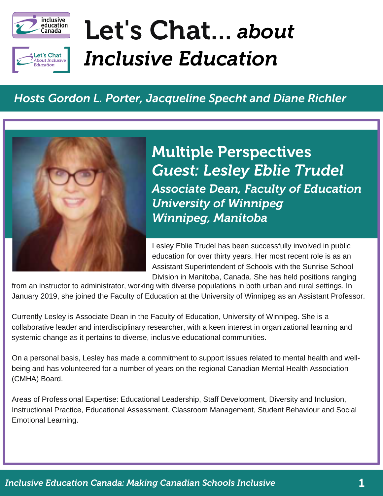

et's Chat **About Inclusive** ducation



#### *Hosts Gordon L. Porter, Jacqueline Specht and Diane Richler*



*Guest: Lesley Eblie Trudel Associate Dean, Faculty of Education University of Winnipeg Winnipeg, Manitoba* Multiple Perspectives

Lesley Eblie Trudel has been successfully involved in public education for over thirty years. Her most recent role is as an Assistant Superintendent of Schools with the Sunrise School Division in Manitoba, Canada. She has held positions ranging

from an instructor to administrator, working with diverse populations in both urban and rural settings. In January 2019, she joined the Faculty of Education at the University of Winnipeg as an Assistant Professor.

Currently Lesley is Associate Dean in the Faculty of Education, University of Winnipeg. She is a collaborative leader and interdisciplinary researcher, with a keen interest in organizational learning and systemic change as it pertains to diverse, inclusive educational communities.

On a personal basis, Lesley has made a commitment to support issues related to mental health and wellbeing and has volunteered for a number of years on the regional Canadian Mental Health Association (CMHA) Board.

Areas of Professional Expertise: Educational Leadership, Staff Development, Diversity and Inclusion, Instructional Practice, Educational Assessment, Classroom Management, Student Behaviour and Social Emotional Learning.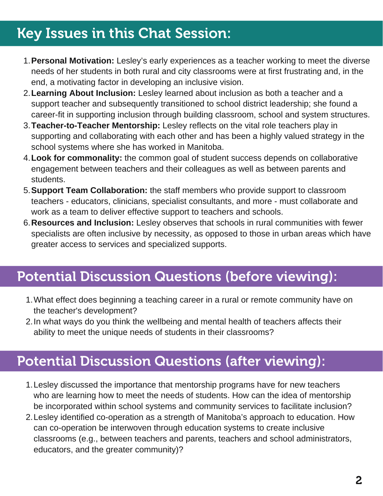## Key Issues in this Chat Session: Key Issues in this Chat Session:

- **Personal Motivation:** Lesley's early experiences as a teacher working to meet the diverse 1. needs of her students in both rural and city classrooms were at first frustrating and, in the end, a motivating factor in developing an inclusive vision.
- **Learning About Inclusion:** Lesley learned about inclusion as both a teacher and a 2. support teacher and subsequently transitioned to school district leadership; she found a career-fit in supporting inclusion through building classroom, school and system structures.
- **Teacher-to-Teacher Mentorship:** Lesley reflects on the vital role teachers play in 3. supporting and collaborating with each other and has been a highly valued strategy in the school systems where she has worked in Manitoba.
- **Look for commonality:** the common goal of student success depends on collaborative 4. engagement between teachers and their colleagues as well as between parents and students.
- **Support Team Collaboration:** the staff members who provide support to classroom 5. teachers - educators, clinicians, specialist consultants, and more - must collaborate and work as a team to deliver effective support to teachers and schools.
- **Resources and Inclusion:** Lesley observes that schools in rural communities with fewer 6. specialists are often inclusive by necessity, as opposed to those in urban areas which have greater access to services and specialized supports.

## Potential Discussion Questions (before viewing):

- What effect does beginning a teaching career in a rural or remote community have on 1. the teacher's development?
- 2. In what ways do you think the wellbeing and mental health of teachers affects their ability to meet the unique needs of students in their classrooms?

### Potential Discussion Questions (after viewing):

- Lesley discussed the importance that mentorship programs have for new teachers 1. who are learning how to meet the needs of students. How can the idea of mentorship be incorporated within school systems and community services to facilitate inclusion?
- 2. Lesley identified co-operation as a strength of Manitoba's approach to education. How can co-operation be interwoven through education systems to create inclusive classrooms (e.g., between teachers and parents, teachers and school administrators, educators, and the greater community)?